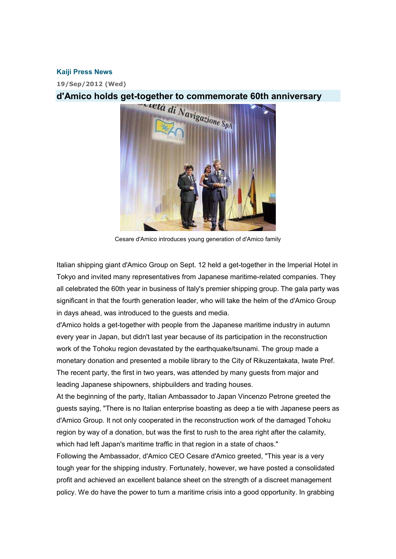## **Kaiji Press News**

**19/Sep/2012 (Wed)** 



Cesare d'Amico introduces young generation of d'Amico family

Italian shipping giant d'Amico Group on Sept. 12 held a get-together in the Imperial Hotel in Tokyo and invited many representatives from Japanese maritime-related companies. They all celebrated the 60th year in business of Italy's premier shipping group. The gala party was significant in that the fourth generation leader, who will take the helm of the d'Amico Group in days ahead, was introduced to the guests and media.

d'Amico holds a get-together with people from the Japanese maritime industry in autumn every year in Japan, but didn't last year because of its participation in the reconstruction work of the Tohoku region devastated by the earthquake/tsunami. The group made a monetary donation and presented a mobile library to the City of Rikuzentakata, Iwate Pref. The recent party, the first in two years, was attended by many guests from major and leading Japanese shipowners, shipbuilders and trading houses.

At the beginning of the party, Italian Ambassador to Japan Vincenzo Petrone greeted the guests saying, "There is no Italian enterprise boasting as deep a tie with Japanese peers as d'Amico Group. It not only cooperated in the reconstruction work of the damaged Tohoku region by way of a donation, but was the first to rush to the area right after the calamity, which had left Japan's maritime traffic in that region in a state of chaos."

Following the Ambassador, d'Amico CEO Cesare d'Amico greeted, "This year is a very tough year for the shipping industry. Fortunately, however, we have posted a consolidated profit and achieved an excellent balance sheet on the strength of a discreet management policy. We do have the power to turn a maritime crisis into a good opportunity. In grabbing